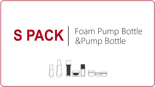# S PACK | Foam Pump Bottle

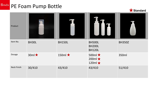# **SPAČK** PE Foam Pump Bottle



| Product            |              |               |                                                       |               |
|--------------------|--------------|---------------|-------------------------------------------------------|---------------|
| Item No.           | BH30L        | <b>BH150L</b> | <b>BH500L</b><br><b>BH200L</b><br><b>BH120L</b>       | <b>BH350Z</b> |
| Dosage             | $30ml \star$ | 150ml $\star$ | 500ml $\star$<br>200ml $\bigstar$<br>120ml $\bigstar$ | 350ml         |
| <b>Neck Finish</b> | 30/410       | 43/410        | 43/410                                                | 51/410        |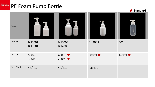# **SPAČK** PE Foam Pump Bottle



| Product            |                                |                                   |               |               |
|--------------------|--------------------------------|-----------------------------------|---------------|---------------|
| Item No.           | <b>BH500T</b><br><b>BH300T</b> | <b>BH400R</b><br><b>BH200R</b>    | <b>BH300R</b> | 501           |
| Dosage             | 500ml<br>300ml                 | 400ml $\star$<br>200ml $\bigstar$ | 300ml $\star$ | 160ml $\star$ |
| <b>Neck Finish</b> | 43/410                         | 40/410                            | 43/410        |               |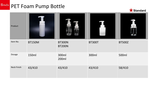# **SPAČK** PET Foam Pump Bottle



| Product            |               |                                |               |               |
|--------------------|---------------|--------------------------------|---------------|---------------|
| Item No.           | <b>BT150M</b> | <b>BT300N</b><br><b>BT200N</b> | <b>BT300T</b> | <b>BT500Z</b> |
| Dosage             | 150ml         | 300ml<br>200ml                 | 300ml         | 500ml         |
| <b>Neck Finish</b> | 43/410        | 43/410                         | 43/410        | 58/410        |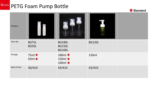# **SPAČK** PETG Foam Pump Bottle



| Product            |                                 |                                                    |               |  |
|--------------------|---------------------------------|----------------------------------------------------|---------------|--|
| Item No.           | <b>BG75L</b><br>BG50L           | <b>BG180L</b><br><b>BG150L</b><br><b>BG100L</b>    | <b>BG120L</b> |  |
| Dosage             | 75ml $\star$<br>50ml $\bigstar$ | 180ml $\star$<br>150ml $\star$<br>100ml $\bigstar$ | 120ml         |  |
| <b>Neck Finish</b> | 30/410                          | 43/410                                             | 43/410        |  |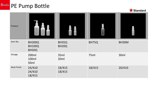**Standard**

| Product            |                                         |                            |        |        |
|--------------------|-----------------------------------------|----------------------------|--------|--------|
| Item No.           | <b>BH200Q</b><br><b>BH100Q</b><br>BH50Q | BH35Q<br>BH <sub>20Q</sub> | BH75Q  | BH30M  |
| Dosage             | 200ml<br>100ml<br>50ml                  | 35ml<br>20ml               | 75ml   | 30ml   |
| <b>Neck Finish</b> | 24/410<br>24/410<br>18/415              | 18/415<br>18/415           | 18/415 | 20/410 |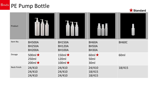

| Product            |                                                 |                                                 |                              |              |
|--------------------|-------------------------------------------------|-------------------------------------------------|------------------------------|--------------|
| Item No.           | <b>BH500A</b><br><b>BH250A</b><br><b>BH200A</b> | <b>BH150A</b><br><b>BH120A</b><br><b>BH100A</b> | BH60A<br>BH50A<br>BH30A      | <b>BH60C</b> |
| Dosage             | 500ml $\star$<br>250ml<br>$200ml \star$         | 150ml $\star$<br>120ml<br>100ml $\bigstar$      | 60ml $\star$<br>50ml<br>30ml | 60ml         |
| <b>Neck Finish</b> | 24/410<br>24/410<br>24/410                      | 24/410<br>24/410<br>24/410                      | 24/410<br>18/415<br>18/415   | 18/415       |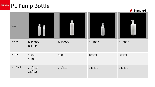**Standard**

| Product            |                        |               |               |               |
|--------------------|------------------------|---------------|---------------|---------------|
| Item No.           | <b>BH100D</b><br>BH50D | <b>BH500D</b> | <b>BH100B</b> | <b>BH500E</b> |
| Dosage             | 100ml<br>50ml          | 500ml         | 100ml         | 500ml         |
| <b>Neck Finish</b> | 24/410<br>18/415       | 24/410        | 24/410        | 24/410        |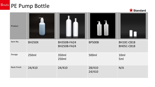

| Product            |               |                                          |                  |                          |
|--------------------|---------------|------------------------------------------|------------------|--------------------------|
| Item No.           | <b>BH250X</b> | <b>BH350B-FA24</b><br><b>BH250B-FA24</b> | <b>BP500B</b>    | BH10C-CB18<br>BH05C-CB18 |
| Dosage             | 250ml         | 350ml<br>250ml                           | 500ml            | 10ml<br>5ml              |
| <b>Neck Finish</b> | 24/410        | 24/410                                   | 28/410<br>24/410 | N/A                      |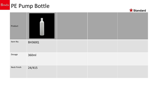

| Product            |               |  |  |
|--------------------|---------------|--|--|
| Item No.           | <b>BH360Q</b> |  |  |
| Dosage             | 360ml         |  |  |
| <b>Neck Finish</b> | 24/415        |  |  |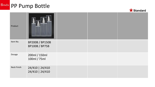

| Product            |                                             |  |  |
|--------------------|---------------------------------------------|--|--|
| Item No.           | <b>BP200B/BP150B</b><br><b>BP100B/BP75B</b> |  |  |
| Dosage             | 200ml / 150ml<br>100ml / 75ml               |  |  |
| <b>Neck Finish</b> | 24/410   24/410<br>24/410   24/410          |  |  |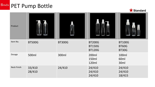

| Product            |                  |               |                                                 |                                               |
|--------------------|------------------|---------------|-------------------------------------------------|-----------------------------------------------|
| Item No.           | <b>BT500G</b>    | <b>BT300G</b> | <b>BT200G</b><br><b>BT150G</b><br><b>BT120G</b> | <b>BT100G</b><br><b>BT60G</b><br><b>BT30G</b> |
| Dosage             | 500ml            | 300ml         | 200ml<br>150ml<br>120ml                         | 100ml<br>60 <sub>ml</sub><br>30ml             |
| <b>Neck Finish</b> | 33/410<br>28/410 | 24/410        | 24/410<br>24/410<br>24/410                      | 24/410<br>24/410<br>18/415                    |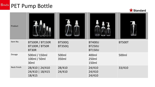

| Product            |                                                          |                                |                                                 |               |
|--------------------|----------------------------------------------------------|--------------------------------|-------------------------------------------------|---------------|
| Item No.           | <b>BT500R / BT150R</b><br><b>BT100R / BT50R</b><br>BT30R | <b>BT500Q</b><br><b>BT350Q</b> | <b>BT400U</b><br><b>BT250U</b><br><b>BT150U</b> | <b>BT500T</b> |
| Dosage             | 500ml / 150ml<br>100ml / 50ml<br>30ml                    | 500ml<br>350ml                 | 400ml<br>250ml<br>150ml                         | 500ml         |
| <b>Neck Finish</b> | 28/410   24/410<br>24/410   18/415<br>18/415             | 28/410<br>24/410               | 24/410<br>24/410<br>24/410                      | 33/410        |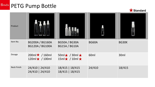

| Product            |                                                  |                                                        |        |                  |
|--------------------|--------------------------------------------------|--------------------------------------------------------|--------|------------------|
| Item No.           | <b>BG200A / BG160A</b><br><b>BG120A / BG100A</b> | <b>BG50A / BG30A</b><br><b>BG15A / BG10A</b>           | BG60A  | BG30K            |
| Dosage             | $200ml \star / 160ml$<br>$120ml \star / 100ml$   | $50ml \star / 30ml \star$<br>$15ml \star / 10ml \star$ | 60ml   | 30 <sub>ml</sub> |
| <b>Neck Finish</b> | 24/410   24/410<br>24/410   24/410               | 18/415   18/415<br>18/415   18/415                     | 24/410 | 18/415           |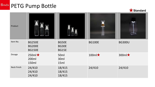

| Product            |                                                 |                                |               |                    |
|--------------------|-------------------------------------------------|--------------------------------|---------------|--------------------|
| Item No.           | <b>BG250E</b><br><b>BG200E</b><br><b>BG150E</b> | BG50E<br>BG30E<br><b>BG15E</b> | <b>BG100E</b> | <b>BG300U</b>      |
| <b>Dosage</b>      | 250ml $\star$<br>200ml<br>150ml                 | 50ml<br>30ml<br>15ml           | $100ml\star$  | 300ml <sup>*</sup> |
| <b>Neck Finish</b> | 24/410<br>24/410<br>24/410                      | 18/415<br>18/415<br>18/415     | 24/410        | 24/410             |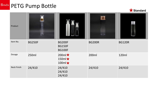

| Product            |               |                                                    |               |               |
|--------------------|---------------|----------------------------------------------------|---------------|---------------|
| Item No.           | <b>BG250F</b> | <b>BG200F</b><br><b>BG150F</b><br><b>BG100F</b>    | <b>BG200R</b> | <b>BG120R</b> |
| Dosage             | 250ml         | $200ml \star$<br>150ml $\bigstar$<br>$100ml \star$ | 200ml         | 120ml         |
| <b>Neck Finish</b> | 24/410        | 24/410<br>24/410<br>24/410                         | 24/410        | 24/410        |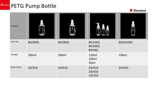

| Product            |               |               |                                                | <b>Contract Contract Contract Contract</b> |
|--------------------|---------------|---------------|------------------------------------------------|--------------------------------------------|
| Item No.           | <b>BG300Q</b> | <b>BG200Q</b> | <b>BG150Q</b><br><b>BG100Q</b><br><b>BG50Q</b> | <b>BG(H)100J</b>                           |
| Dosage             | 300ml         | 200ml         | 150ml<br>100ml<br>50ml                         | 100ml                                      |
| <b>Neck Finish</b> | 24/410        | 24/410        | 24/410<br>24/410<br>24/410                     | 24/410                                     |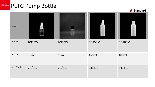**Standard**

| Product            |              |        |               |               |
|--------------------|--------------|--------|---------------|---------------|
| Item No.           | <b>BG75W</b> | BG50W  | <b>BG150M</b> | <b>BG100M</b> |
| Dosage             | 75ml         | 50ml   | 150ml         | 100ml         |
| <b>Neck Finish</b> | 24/410       | 24/410 | 24/410        | 24/410        |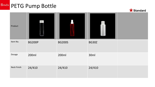

| Product            |               |               |              |  |
|--------------------|---------------|---------------|--------------|--|
| Item No.           | <b>BG200P</b> | <b>BG200S</b> | <b>BG30Z</b> |  |
| Dosage             | 200ml         | 200ml         | 30ml         |  |
| <b>Neck Finish</b> | 24/410        | 24/410        | 24/410       |  |